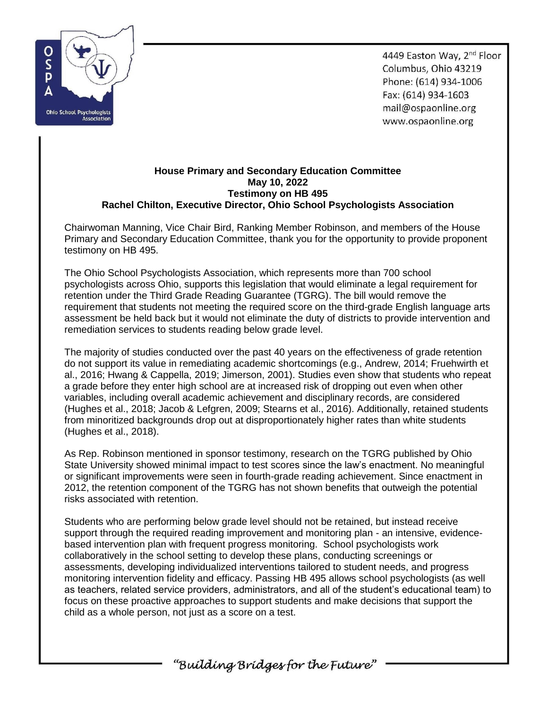

4449 Easton Way, 2nd Floor Columbus, Ohio 43219 Phone: (614) 934-1006 Fax: (614) 934-1603 mail@ospaonline.org www.ospaonline.org

## **House Primary and Secondary Education Committee May 10, 2022 Testimony on HB 495 Rachel Chilton, Executive Director, Ohio School Psychologists Association**

Chairwoman Manning, Vice Chair Bird, Ranking Member Robinson, and members of the House Primary and Secondary Education Committee, thank you for the opportunity to provide proponent testimony on HB 495.

The Ohio School Psychologists Association, which represents more than 700 school psychologists across Ohio, supports this legislation that would eliminate a legal requirement for retention under the Third Grade Reading Guarantee (TGRG). The bill would remove the requirement that students not meeting the required score on the third-grade English language arts assessment be held back but it would not eliminate the duty of districts to provide intervention and remediation services to students reading below grade level.

The majority of studies conducted over the past 40 years on the effectiveness of grade retention do not support its value in remediating academic shortcomings (e.g., Andrew, 2014; Fruehwirth et al., 2016; Hwang & Cappella, 2019; Jimerson, 2001). Studies even show that students who repeat a grade before they enter high school are at increased risk of dropping out even when other variables, including overall academic achievement and disciplinary records, are considered (Hughes et al., 2018; Jacob & Lefgren, 2009; Stearns et al., 2016). Additionally, retained students from minoritized backgrounds drop out at disproportionately higher rates than white students (Hughes et al., 2018).

As Rep. Robinson mentioned in sponsor testimony, research on the TGRG published by Ohio State University showed minimal impact to test scores since the law's enactment. No meaningful or significant improvements were seen in fourth-grade reading achievement. Since enactment in 2012, the retention component of the TGRG has not shown benefits that outweigh the potential risks associated with retention.

Students who are performing below grade level should not be retained, but instead receive support through the required reading improvement and monitoring plan - an intensive, evidencebased intervention plan with frequent progress monitoring. School psychologists work collaboratively in the school setting to develop these plans, conducting screenings or assessments, developing individualized interventions tailored to student needs, and progress monitoring intervention fidelity and efficacy. Passing HB 495 allows school psychologists (as well as teachers, related service providers, administrators, and all of the student's educational team) to focus on these proactive approaches to support students and make decisions that support the child as a whole person, not just as a score on a test.

"Building Bridges for the Future"